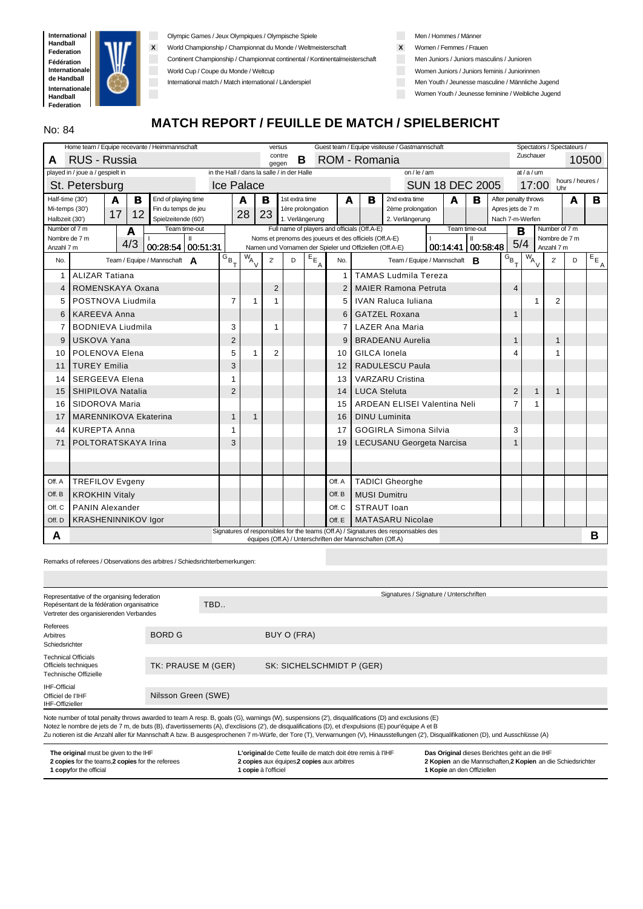

Olympic Games / Jeux Olympiques / Olympische Spiele

**X** World Championship / Championnat du Monde / Weltmeisterschaft

Continent Championship / Championnat continental / Kontinentalmeisterschaft

World Cup / Coupe du Monde / Weltcup

International match / Match international / Länderspiel

Men / Hommes / Männer

- **X** Women / Femmes / Frauen
- **Men Juniors / Juniors masculins / Junioren**
- Women Juniors / Juniors feminis / Juniorinnen
- Men Youth / Jeunesse masculine / Männliche Jugend

Women Youth / Jeunesse feminine / Weibliche Jugend

# **MATCH REPORT / FEUILLE DE MATCH / SPIELBERICHT**

|                                  | Home team / Equipe recevante / Heimmannschaft          |                                            |              | versus          |                |                                      |                |                                                           | Guest team / Equipe visiteuse / Gastmannschaft                                                                |                        |               |                        |                      |               | Spectators / Spectateurs / |                          |
|----------------------------------|--------------------------------------------------------|--------------------------------------------|--------------|-----------------|----------------|--------------------------------------|----------------|-----------------------------------------------------------|---------------------------------------------------------------------------------------------------------------|------------------------|---------------|------------------------|----------------------|---------------|----------------------------|--------------------------|
| A                                | RUS - Russia                                           |                                            |              | contre<br>gegen | B              |                                      |                | ROM - Romania                                             |                                                                                                               |                        |               |                        | Zuschauer            |               |                            | 10500                    |
|                                  | played in / joue a / gespielt in                       | in the Hall / dans la salle / in der Halle |              |                 |                |                                      |                |                                                           | on / $le$ / am                                                                                                |                        |               |                        | $at/a$ /um           |               |                            |                          |
|                                  | St. Petersburg                                         | <b>Ice Palace</b>                          |              |                 |                |                                      |                |                                                           |                                                                                                               | <b>SUN 18 DEC 2005</b> |               |                        | 17:00                | <b>Uhr</b>    | hours / heures /           |                          |
| Half-time (30')                  | End of playing time<br>A<br>в                          |                                            | A            | в               | 1st extra time |                                      | A              | в                                                         | 2nd extra time                                                                                                | A                      | в             |                        | After penalty throws |               | A                          | в                        |
| Mi-temps (30')<br>Halbzeit (30') | Fin du temps de jeu<br>17<br>12<br>Spielzeitende (60') |                                            | 28           | 23              |                | 1ère prolongation<br>1. Verlängerung |                |                                                           | 2ème prolongation<br>2. Verlängerung                                                                          |                        |               | Apres jets de 7 m      | Nach 7-m-Werfen      |               |                            |                          |
| Number of 7 m                    | Team time-out<br>A                                     |                                            |              |                 |                |                                      |                | Full name of players and officials (Off.A-E)              |                                                                                                               |                        | Team time-out | B                      |                      | Number of 7 m |                            |                          |
| Nombre de 7 m                    | Ш<br>4/3                                               |                                            |              |                 |                |                                      |                | Noms et prenoms des joueurs et des officiels (Off.A-E)    |                                                                                                               |                        | $\mathbf{II}$ | 5/4                    |                      | Nombre de 7 m |                            |                          |
| Anzahl 7 m                       | 00:28:54 00:51:31                                      |                                            |              |                 |                |                                      |                | Namen und Vornamen der Spieler und Offiziellen (Off.A-E)  |                                                                                                               | 00:14:41 00:58:48      |               |                        |                      | Anzahl 7 m    |                            |                          |
| No.                              | Team / Equipe / Mannschaft $\Delta$                    | $G_{B_{\top}}$                             | $W_{A}$      | $2^{\prime}$    | D              | $E_{E_{\underline{A}}}$              | No.            |                                                           | Team / Equipe / Mannschaft <b>R</b>                                                                           |                        |               | $G_{B}$ <sub>T</sub> , | $\overline{w}_{A}$   | $2^{\prime}$  | D                          | $E_{E_{\underline{A}}},$ |
| 1                                | <b>ALIZAR Tatiana</b>                                  |                                            |              |                 |                |                                      | 1              |                                                           | <b>TAMAS Ludmila Tereza</b>                                                                                   |                        |               |                        |                      |               |                            |                          |
| 4                                | ROMENSKAYA Oxana                                       |                                            |              | $\overline{2}$  |                |                                      | $\overline{2}$ |                                                           | <b>MAIER Ramona Petruta</b>                                                                                   |                        |               | $\overline{4}$         |                      |               |                            |                          |
| 5                                | POSTNOVA Liudmila                                      | 7                                          | 1            | 1               |                |                                      | 5              |                                                           | <b>IVAN Raluca Iuliana</b>                                                                                    |                        |               |                        | 1                    | 2             |                            |                          |
| 6                                | <b>KAREEVA Anna</b>                                    |                                            |              |                 |                |                                      | 6              |                                                           | <b>GATZEL Roxana</b>                                                                                          |                        |               | $\mathbf{1}$           |                      |               |                            |                          |
| 7                                | <b>BODNIEVA Liudmila</b>                               | 3                                          |              | 1               |                |                                      | 7              |                                                           | <b>LAZER Ana Maria</b>                                                                                        |                        |               |                        |                      |               |                            |                          |
| 9                                | <b>USKOVA Yana</b>                                     | $\overline{2}$                             |              |                 |                |                                      | 9              |                                                           | <b>BRADEANU Aurelia</b>                                                                                       |                        |               | $\mathbf{1}$           |                      | $\mathbf{1}$  |                            |                          |
| 10                               | POLENOVA Elena                                         | 5                                          | 1            | $\overline{2}$  |                |                                      | 10             | GILCA Ionela                                              |                                                                                                               |                        |               | 4                      |                      |               |                            |                          |
| 11                               | <b>TUREY Emilia</b>                                    | 3                                          |              |                 |                |                                      | 12             |                                                           | <b>RADULESCU Paula</b>                                                                                        |                        |               |                        |                      |               |                            |                          |
| 14                               | <b>SERGEEVA Elena</b>                                  | 1                                          |              |                 |                |                                      | 13             |                                                           | <b>VARZARU Cristina</b>                                                                                       |                        |               |                        |                      |               |                            |                          |
| 15                               | SHIPILOVA Natalia                                      | $\overline{2}$                             |              |                 |                |                                      | 14             | <b>LUCA Steluta</b>                                       |                                                                                                               |                        |               | $\overline{2}$         | $\mathbf{1}$         | 1             |                            |                          |
| 16                               | SIDOROVA Maria                                         |                                            |              |                 |                |                                      | 15             |                                                           | <b>ARDEAN ELISEI Valentina Neli</b>                                                                           |                        |               | $\overline{7}$         |                      |               |                            |                          |
| 17                               | <b>MARENNIKOVA Ekaterina</b>                           | $\mathbf{1}$                               | $\mathbf{1}$ |                 |                |                                      | 16             |                                                           | <b>DINU Luminita</b>                                                                                          |                        |               |                        |                      |               |                            |                          |
| 44                               | <b>KUREPTA Anna</b>                                    | 1                                          |              |                 |                |                                      | 17             |                                                           | <b>GOGIRLA Simona Silvia</b>                                                                                  |                        |               | 3                      |                      |               |                            |                          |
| 71                               | POLTORATSKAYA Irina                                    | 3                                          |              |                 |                |                                      | 19             |                                                           | <b>LECUSANU Georgeta Narcisa</b>                                                                              |                        |               | 1                      |                      |               |                            |                          |
|                                  |                                                        |                                            |              |                 |                |                                      |                |                                                           |                                                                                                               |                        |               |                        |                      |               |                            |                          |
|                                  |                                                        |                                            |              |                 |                |                                      |                |                                                           |                                                                                                               |                        |               |                        |                      |               |                            |                          |
| Off. A                           | <b>TREFILOV Evgeny</b>                                 |                                            |              |                 |                |                                      | Off. A         |                                                           | <b>TADICI Gheorghe</b>                                                                                        |                        |               |                        |                      |               |                            |                          |
| Off. B                           | <b>KROKHIN Vitaly</b>                                  |                                            |              |                 |                |                                      | Off. B         | <b>MUSI Dumitru</b>                                       |                                                                                                               |                        |               |                        |                      |               |                            |                          |
| Off. C                           | <b>PANIN Alexander</b>                                 |                                            |              |                 |                |                                      | Off. C         | STRAUT loan                                               |                                                                                                               |                        |               |                        |                      |               |                            |                          |
| Off. D                           | <b>KRASHENINNIKOV Igor</b>                             |                                            |              |                 |                |                                      | Off. E         |                                                           | <b>MATASARU Nicolae</b><br>Signatures of responsibles for the teams (Off.A) / Signatures des responsables des |                        |               |                        |                      |               |                            |                          |
| A                                |                                                        |                                            |              |                 |                |                                      |                | équipes (Off.A) / Unterschriften der Mannschaften (Off.A) |                                                                                                               |                        |               |                        |                      |               |                            | B                        |

Remarks of referees / Observations des arbitres / Schiedsrichterbemerkungen:

| Representative of the organising federation                                           |                     |     | Signatures / Signature / Unterschriften                                                                                                                 |
|---------------------------------------------------------------------------------------|---------------------|-----|---------------------------------------------------------------------------------------------------------------------------------------------------------|
| Repésentant de la fédération organisatrice<br>Vertreter des organisierenden Verbandes |                     | TBD |                                                                                                                                                         |
|                                                                                       |                     |     |                                                                                                                                                         |
| Referees<br>Arbitres<br>Schiedsrichter                                                | <b>BORD G</b>       |     | BUY O (FRA)                                                                                                                                             |
|                                                                                       |                     |     |                                                                                                                                                         |
| <b>Technical Officials</b><br>Officiels techniques<br>Technische Offizielle           | TK: PRAUSE M (GER)  |     | SK: SICHELSCHMIDT P (GER)                                                                                                                               |
|                                                                                       |                     |     |                                                                                                                                                         |
| IHF-Official<br>Officiel de l'IHF<br>IHF-Offizieller                                  | Nilsson Green (SWE) |     |                                                                                                                                                         |
|                                                                                       |                     |     | Note number of total penalty throug awarded to toom A roop B, goals $(C)$ warnings $(M)$ supponsions $(2)$ disqualifications $(D)$ and evolusions $(F)$ |

oer of total penalty throws awarded to team A resp. B, goals (G), warnings (W), suspensions (2'), c Notez le nombre de jets de 7 m, de buts (B), d'avertissements (A), d'exclisions (2'), de disqualifications (D), et d'expulsions (E) pour'équipe A et B

Zu notieren ist die Anzahl aller für Mannschaft A bzw. B ausgesprochenen 7 m-Würfe, der Tore (T), Verwarnungen (V), Hinausstellungen (2'), Disqualifikationen (D), und Ausschlüsse (A)

| The original must be given to the IHF             | L'original de Cette feuille de match doit étre remis à l'IHF | Das Original dieses Berichtes geht an die IHF                |
|---------------------------------------------------|--------------------------------------------------------------|--------------------------------------------------------------|
| 2 copies for the teams, 2 copies for the referees | 2 copies aux équipes 2 copies aux arbitres                   | 2 Kopien an die Mannschaften, 2 Kopien an die Schiedsrichter |
| <b>1 copyfor the official</b>                     | <b>1 copie</b> à l'officiel                                  | <b>1 Kopie</b> an den Offiziellen                            |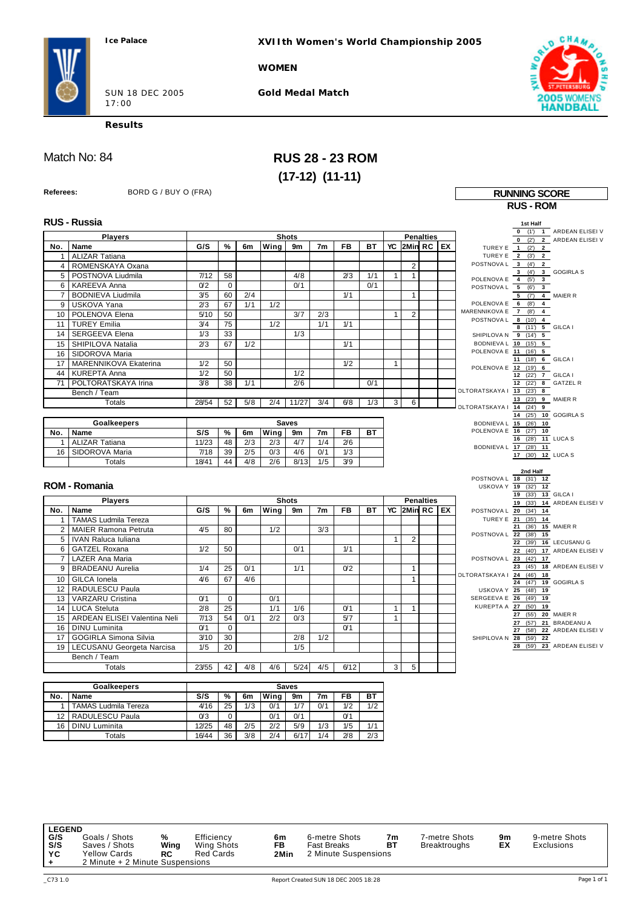**XVIIth Women's World Championship 2005**

**WOMEN**

SUN 18 DEC 2005 17:00

**Gold Medal Match**



h

**Results**

# Match No: 84 **RUS 28 - 23 ROM (17-12) (11-11)**

| Referees:       | BORD G / BUY O (FRA)         |                  |             |     |      |                |                |                |           |              |                   |                  |                           | <b>RUNNING SCORE</b>                          |                                                     |
|-----------------|------------------------------|------------------|-------------|-----|------|----------------|----------------|----------------|-----------|--------------|-------------------|------------------|---------------------------|-----------------------------------------------|-----------------------------------------------------|
|                 |                              |                  |             |     |      |                |                |                |           |              |                   |                  |                           | <b>RUS - ROM</b>                              |                                                     |
|                 |                              |                  |             |     |      |                |                |                |           |              |                   |                  |                           |                                               |                                                     |
|                 | <b>RUS - Russia</b>          |                  |             |     |      |                |                |                |           |              |                   |                  |                           | 1st Half                                      |                                                     |
|                 | <b>Players</b>               |                  |             |     |      | <b>Shots</b>   |                |                |           |              |                   | <b>Penalties</b> |                           |                                               | 0 (1) 1 ARDEAN ELISEI V<br>0 (2') 2 ARDEAN ELISEI V |
| No.             | Name                         | G/S              | %           | 6m  | Wing | 9m             | 7 <sub>m</sub> | <b>FB</b>      | BT        | YC           | $ 2$ Min RC $ EX$ |                  |                           | TUREY E 1 (2') 2                              |                                                     |
| $\mathbf{1}$    | <b>ALIZAR Tatiana</b>        |                  |             |     |      |                |                |                |           |              |                   |                  |                           | TUREY E 2 (3') 2                              |                                                     |
| $\overline{4}$  | ROMENSKAYA Oxana             |                  |             |     |      |                |                |                |           |              | $\overline{2}$    |                  | POSTNOVA L 3 (4)          | $\overline{2}$                                |                                                     |
| 5               | POSTNOVA Liudmila            | 7/12             | 58          |     |      | 4/8            |                | 2/3            | 1/1       | $\mathbf{1}$ | $\mathbf{1}$      |                  | POLENOVA E 4 (5')         | $\mathbf{3}$                                  | 3 (4') 3 GOGIRLA S                                  |
| 6               | <b>KAREEVA Anna</b>          | 0/2              | $\mathbf 0$ |     |      | 0/1            |                |                | 0/1       |              |                   |                  | POSTNOVA L 5 (6)          | $\overline{\mathbf{3}}$                       |                                                     |
| $\overline{7}$  | <b>BODNIEVA Liudmila</b>     | 3/5              | 60          | 2/4 |      |                |                | 1/1            |           |              | $\mathbf{1}$      |                  |                           | $5$ $(7)$ 4 MAIER R                           |                                                     |
| 9               | USKOVA Yana                  | 2/3              | 67          | 1/1 | 1/2  |                |                |                |           |              |                   |                  | POLENOVA E 6 (8')         | $\overline{4}$                                |                                                     |
| 10              | POLENOVA Elena               | 5/10             | 50          |     |      | 3/7            | 2/3            |                |           | $\mathbf{1}$ | $\overline{2}$    |                  | MARENNIKOVA E 7 (8')      | $\overline{4}$<br>POSTNOVAL 8 (10) 4          |                                                     |
| 11              | <b>TUREY Emilia</b>          | 3/4              | 75          |     | 1/2  |                | 1/1            | 1/1            |           |              |                   |                  |                           | 8 (11') 5 GILCA I                             |                                                     |
| 14              | SERGEEVA Elena               | 1/3              | 33          |     |      | 1/3            |                |                |           |              |                   |                  |                           | SHIPILOVAN 9 (14') 5                          |                                                     |
| 15              | SHIPILOVA Natalia            | 2/3              | 67          | 1/2 |      |                |                | 1/1            |           |              |                   |                  |                           | BODNIEVA L 10 (15') 5                         |                                                     |
| 16              | SIDOROVA Maria               |                  |             |     |      |                |                |                |           |              |                   |                  |                           | POLENOVA E 11 (16') 5                         |                                                     |
| 17              | MARENNIKOVA Ekaterina        | 1/2              | 50          |     |      |                |                | 1/2            |           | $\mathbf{1}$ |                   |                  |                           | 11 (18') 6 GILCA I<br>POLENOVA E 12 (19') 6   |                                                     |
| 44              | <b>KUREPTA Anna</b>          | $\overline{1/2}$ | 50          |     |      | 1/2            |                |                |           |              |                   |                  |                           | 12 (22') 7 GILCA I                            |                                                     |
| 71              | POLTORATSKAYA Irina          | 3/8              | 38          | 1/1 |      | 2/6            |                |                | 0/1       |              |                   |                  |                           | 12 (22') 8 GATZEL R                           |                                                     |
|                 | Bench / Team                 |                  |             |     |      |                |                |                |           |              |                   |                  | DLTORATSKAYA   13 (23') 8 |                                               |                                                     |
|                 | <b>Totals</b>                | 28/54            | 52          | 5/8 | 2/4  | 11/27          | 3/4            | 6/8            | 1/3       | 3            | 6                 |                  | <b>OLTORATSKAYA I</b>     | 13 (23') 9 MAIER R<br>14(24)9                 |                                                     |
|                 |                              |                  |             |     |      |                |                |                |           |              |                   |                  |                           |                                               | 14 (25') 10 GOGIRLA S                               |
|                 | <b>Goalkeepers</b>           |                  |             |     |      | <b>Saves</b>   |                |                |           |              |                   |                  |                           | BODNIEVA L 15 (26') 10                        |                                                     |
| No.             | Name                         | S/S              | %           | 6m  | Wing | 9m             | 7m             | <b>FB</b>      | <b>BT</b> |              |                   |                  |                           | POLENOVA E 16 (27') 10                        |                                                     |
| $\mathbf{1}$    | <b>ALIZAR Tatiana</b>        | 11/23            | 48          | 2/3 | 2/3  | 4/7            | 1/4            | 2/6            |           |              |                   |                  |                           | 16 (28') 11 LUCA S<br>BODNIEVA L 17 (28') 11  |                                                     |
| 16              | SIDOROVA Maria               | 7/18             | 39          | 2/5 | 0/3  | 4/6            | 0/1            | 1/3            |           |              |                   |                  |                           | 17 (30') 12 LUCA S                            |                                                     |
|                 | <b>Totals</b>                | 18/41            | 44          | 4/8 | 2/6  | 8/13           | 1/5            | 3/9            |           |              |                   |                  |                           |                                               |                                                     |
|                 |                              |                  |             |     |      |                |                |                |           |              |                   |                  |                           | 2nd Half                                      |                                                     |
|                 | <b>ROM - Romania</b>         |                  |             |     |      |                |                |                |           |              |                   |                  |                           | POSTNOVAL 18 (31') 12<br>USKOVA Y 19 (32') 12 |                                                     |
|                 |                              |                  |             |     |      |                |                |                |           |              |                   |                  |                           | 19 (33') 13 GILCA I                           |                                                     |
|                 | <b>Players</b>               |                  |             |     |      | <b>Shots</b>   |                |                |           |              |                   | <b>Penalties</b> |                           | 19 (33')                                      | 14 ARDEAN ELISEI V                                  |
| No.             | Name                         | G/S              | %           | 6m  | Wing | 9m             | 7 <sub>m</sub> | <b>FB</b>      | BT        |              | YC 2Min RC EX     |                  |                           | POSTNOVA L 20 (34') 14                        |                                                     |
| $\mathbf{1}$    | TAMAS Ludmila Tereza         |                  |             |     |      |                |                |                |           |              |                   |                  | TUREY E 21                | (35')<br>14<br>21<br>(36')                    | 15 MAIER R                                          |
| $\overline{2}$  | <b>MAIER Ramona Petruta</b>  | 4/5              | 80          |     | 1/2  |                | 3/3            |                |           |              |                   |                  | POSTNOVA L 22             | $(38')$ 15                                    |                                                     |
| 5               | IVAN Raluca Iuliana          |                  |             |     |      |                |                |                |           | $\mathbf{1}$ | $\overline{2}$    |                  |                           | (39')<br>22                                   | 16 LECUSANU G                                       |
| 6               | <b>GATZEL Roxana</b>         | 1/2              | 50          |     |      | 0/1            |                | 1/1            |           |              |                   |                  |                           | 22                                            | (40') 17 ARDEAN ELISEI V                            |
| $\overline{7}$  | <b>LAZER Ana Maria</b>       |                  |             |     |      |                |                |                |           |              |                   |                  | POSTNOVA L 23             | (42)<br>17<br>23<br>(45)                      | 18 ARDEAN ELISEI V                                  |
| 9               | <b>BRADEANU Aurelia</b>      | 1/4              | 25          | 0/1 |      | 1/1            |                | 0/2            |           |              | $\mathbf{1}$      |                  | OLTORATSKAYA   24 (46')   | 18                                            |                                                     |
| 10              | GILCA Ionela                 | 4/6              | 67          | 4/6 |      |                |                |                |           |              | $\mathbf{1}$      |                  |                           | 24 (47') 19 GOGIRLA S                         |                                                     |
| 12 <sup>2</sup> | RADULESCU Paula              |                  |             |     |      |                |                |                |           |              |                   |                  | USKOVA Y 25 (48')         | 19                                            |                                                     |
| 13              | <b>VARZARU Cristina</b>      | 0 <sub>1</sub>   | $\mathbf 0$ |     | 0/1  |                |                |                |           |              |                   |                  | SERGEEVA E 26             | (49)<br>19                                    |                                                     |
| 14              | <b>LUCA Steluta</b>          | 2/8              | 25          |     | 1/1  | 1/6            |                | $O$ 1          |           | $\mathbf{1}$ | $\mathbf{1}$      |                  | KUREPTA A 27 (50')        | 19<br>27 (55')                                | 20 MAIER R                                          |
| 15              | ARDEAN ELISEI Valentina Neli | 7/13             | 54          | 0/1 | 2/2  | 0/3            |                | 5/7            |           | $\mathbf{1}$ |                   |                  |                           | 27 (57')                                      | 21 BRADEANU A                                       |
| 16              | <b>DINU Luminita</b>         | 0 <sub>1</sub>   | $\mathbf 0$ |     |      |                |                | O <sub>1</sub> |           |              |                   |                  |                           |                                               | 27 (58') 22 ARDEAN ELISEI V                         |
| 17              | <b>GOGIRLA Simona Silvia</b> | 3/10             | 30          |     |      | 2/8            | 1/2            |                |           |              |                   |                  |                           | SHIPILOVA N 28 (59') 22                       |                                                     |
| 19              | LECUSANU Georgeta Narcisa    | 1/5              | 20          |     |      | 1/5            |                |                |           |              |                   |                  |                           | 28                                            | (59') 23 ARDEAN ELISEI V                            |
|                 | Bench / Team                 |                  |             |     |      |                |                |                |           |              |                   |                  |                           |                                               |                                                     |
|                 | Totals                       | 23/55            | 42          | 4/8 | 4/6  | 5/24           | 4/5            | 6/12           |           | 3            | 5                 |                  |                           |                                               |                                                     |
|                 |                              |                  |             |     |      |                |                |                |           |              |                   |                  |                           |                                               |                                                     |
|                 | <b>Goalkeepers</b>           |                  |             |     |      | <b>Saves</b>   |                |                |           |              |                   |                  |                           |                                               |                                                     |
| No.             | <b>Name</b>                  | S/S              | %           | 6m  | Wing | 9 <sub>m</sub> | 7 <sub>m</sub> | <b>FB</b>      | BT        |              |                   |                  |                           |                                               |                                                     |

|     | Goalkeepers                 |                |    |     |      | <b>Saves</b> |     |     |     |
|-----|-----------------------------|----------------|----|-----|------|--------------|-----|-----|-----|
| No. | Name                        | S/S            | %  | 6m  | Wing | 9m           | 7m  | FB  | вт  |
|     | <b>TAMAS Ludmila Tereza</b> | 4/16           | 25 | 1/3 | 0/1  | 1/7          | 0/1 | 1/2 | 1/2 |
| 12  | RADULESCU Paula             | 0 <sup>3</sup> | 0  |     | 0/1  | 0/1          |     | 0/1 |     |
| 16  | <b>DINU Luminita</b>        | 12/25          | 48 | 2/5 | 2/2  | 5/9          | 1/3 | 1/5 | 1/1 |
|     | Totals                      | 16/44          | 36 | 3/8 | 2/4  | 6/17         | 1/4 | 2/8 | 2/3 |

**LEGEND<br>G/S** Goals / Shots<br>**S/S** Saves / Shots<br>**YC** Yellow Cards **G/S** Goals / Shots **%** Efficiency **6m** 6-metre Shots **7m** 7-metre Shots **9m** 9-metre Shots **S/S** Saves / Shots **Wing** Wing Shots **FB** Fast Breaks **BT** Breaktroughs **EX** Exclusions **YC** Yellow Cards **RC** Red Cards **2Min** 2 Minute Suspensions **+** 2 Minute + 2 Minute Suspensions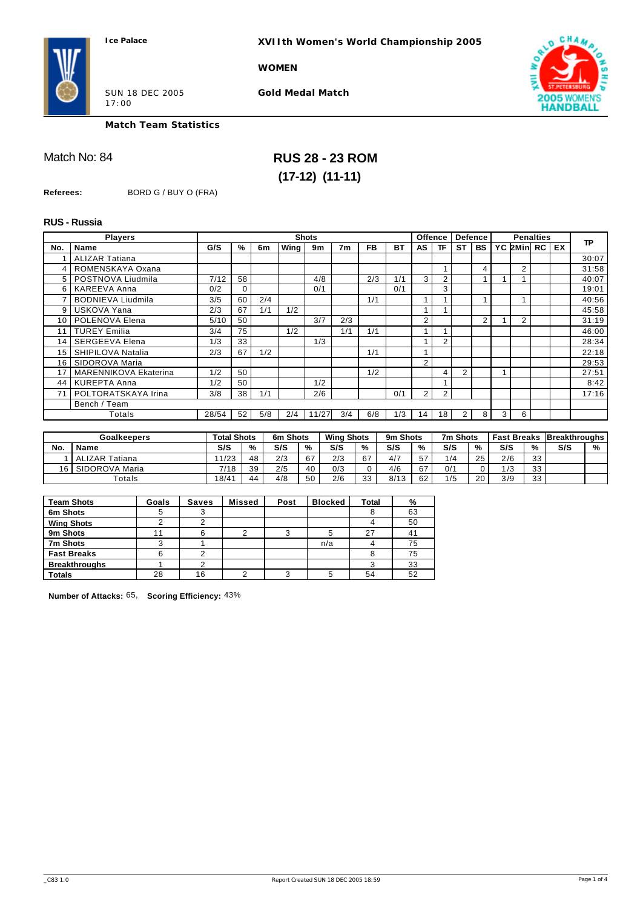**XVIIth Women's World Championship 2005**

**WOMEN**



SUN 18 DEC 2005 17:00

**Gold Medal Match**



**Match Team Statistics**

## Match No: 84 **RUS 28 - 23 ROM (17-12) (11-11)**

**Referees:** BORD G / BUY O (FRA)

### **RUS - Russia**

|     | <b>Players</b>               |       |    |     |      | <b>Shots</b> |                |           |     |                | <b>Offence</b> |                       | <b>Defence</b> |   |            | <b>Penalties</b> |    |           |
|-----|------------------------------|-------|----|-----|------|--------------|----------------|-----------|-----|----------------|----------------|-----------------------|----------------|---|------------|------------------|----|-----------|
| No. | Name                         | G/S   | %  | 6m  | Wing | 9m           | 7 <sub>m</sub> | <b>FB</b> | BT  | AS             | ΤF             | <b>ST</b>             | <b>BS</b>      |   | YC 2Min RC |                  | EX | <b>TP</b> |
|     | <b>ALIZAR Tatiana</b>        |       |    |     |      |              |                |           |     |                |                |                       |                |   |            |                  |    | 30:07     |
|     | ROMENSKAYA Oxana             |       |    |     |      |              |                |           |     |                |                |                       | $\overline{4}$ |   | 2          |                  |    | 31:58     |
|     | 5   POSTNOVA Liudmila        | 7/12  | 58 |     |      | 4/8          |                | 2/3       | 1/1 | 3              | 2              |                       |                |   |            |                  |    | 40:07     |
| 6   | KAREEVA Anna                 | 0/2   | 0  |     |      | 0/1          |                |           | 0/1 |                | 3              |                       |                |   |            |                  |    | 19:01     |
|     | <b>BODNIEVA Liudmila</b>     | 3/5   | 60 | 2/4 |      |              |                | 1/1       |     |                |                |                       |                |   |            |                  |    | 40:56     |
| 9   | USKOVA Yana                  | 2/3   | 67 | 1/1 | 1/2  |              |                |           |     |                |                |                       |                |   |            |                  |    | 45:58     |
| 10  | POLENOVA Elena               | 5/10  | 50 |     |      | 3/7          | 2/3            |           |     | $\overline{2}$ |                |                       | $\overline{2}$ |   | 2          |                  |    | 31:19     |
| 11  | <b>TUREY Emilia</b>          | 3/4   | 75 |     | 1/2  |              | 1/1            | 1/1       |     |                |                |                       |                |   |            |                  |    | 46:00     |
| 14  | <b>SERGEEVA Elena</b>        | 1/3   | 33 |     |      | 1/3          |                |           |     |                | 2              |                       |                |   |            |                  |    | 28:34     |
| 15  | SHIPILOVA Natalia            | 2/3   | 67 | 1/2 |      |              |                | 1/1       |     |                |                |                       |                |   |            |                  |    | 22:18     |
| 16  | SIDOROVA Maria               |       |    |     |      |              |                |           |     | $\overline{2}$ |                |                       |                |   |            |                  |    | 29:53     |
| 17  | <b>MARENNIKOVA Ekaterina</b> | 1/2   | 50 |     |      |              |                | 1/2       |     |                | 4              | $\overline{2}$        |                |   |            |                  |    | 27:51     |
| 44  | <b>KUREPTA Anna</b>          | 1/2   | 50 |     |      | 1/2          |                |           |     |                |                |                       |                |   |            |                  |    | 8:42      |
| 71  | POLTORATSKAYA Irina          | 3/8   | 38 | 1/1 |      | 2/6          |                |           | 0/1 | 2              | 2              |                       |                |   |            |                  |    | 17:16     |
|     | Bench / Team                 |       |    |     |      |              |                |           |     |                |                |                       |                |   |            |                  |    |           |
|     | Totals                       | 28/54 | 52 | 5/8 | 2/4  | 11/27        | 3/4            | 6/8       | 1/3 | 14             | 18             | $\mathbf{2}^{\prime}$ | 8              | 3 | 6          |                  |    |           |

|     | <b>Goalkeepers</b>    |          | Total Shots |     | 6m Shots | <b>Wing Shots</b> |    | 9m Shots |    | 7m Shots |    | <b>Fast Breaks</b> |    | <b>Breakthroughs</b> l |   |
|-----|-----------------------|----------|-------------|-----|----------|-------------------|----|----------|----|----------|----|--------------------|----|------------------------|---|
| No. | <b>Name</b>           | S/S      | %           | S/S | %        | S/S               | %  | S/S      | %  | S/S      | %  | S/S                | %  | S/S                    | % |
|     | <b>ALIZAR Tatiana</b> | 11/23    | 48          | 2/3 | 67       | 2/3               | 67 | 4/7      | 57 | 1/4      | 25 | 2/6                | 33 |                        |   |
| 16  | SIDOROVA Maria        | 7/18     | 39          | 2/5 | 40       | 0/3               |    | 4/6      | 67 | 0/1      |    | 1/3                | 33 |                        |   |
|     | Totals                | $18/4^4$ | 44          | 4/8 | 50       | 2/6               | 33 | 8/13     | 62 | 1/5      | 20 | 3/9                | 33 |                        |   |

| <b>Team Shots</b>    | Goals | <b>Saves</b> | <b>Missed</b> | Post | <b>Blocked</b> | <b>Total</b> | %  |
|----------------------|-------|--------------|---------------|------|----------------|--------------|----|
| 6m Shots             |       | د            |               |      |                |              | 63 |
| <b>Wing Shots</b>    |       |              |               |      |                |              | 50 |
| 9m Shots             |       | 6            |               |      |                | 27           | 41 |
| 7m Shots             |       |              |               |      | n/a            |              | 75 |
| <b>Fast Breaks</b>   |       |              |               |      |                |              | 75 |
| <b>Breakthroughs</b> |       |              |               |      |                |              | 33 |
| <b>Totals</b>        | 28    | 16           |               |      |                | 54           | 52 |

**Number of Attacks:** 65, **Scoring Efficiency:** 43%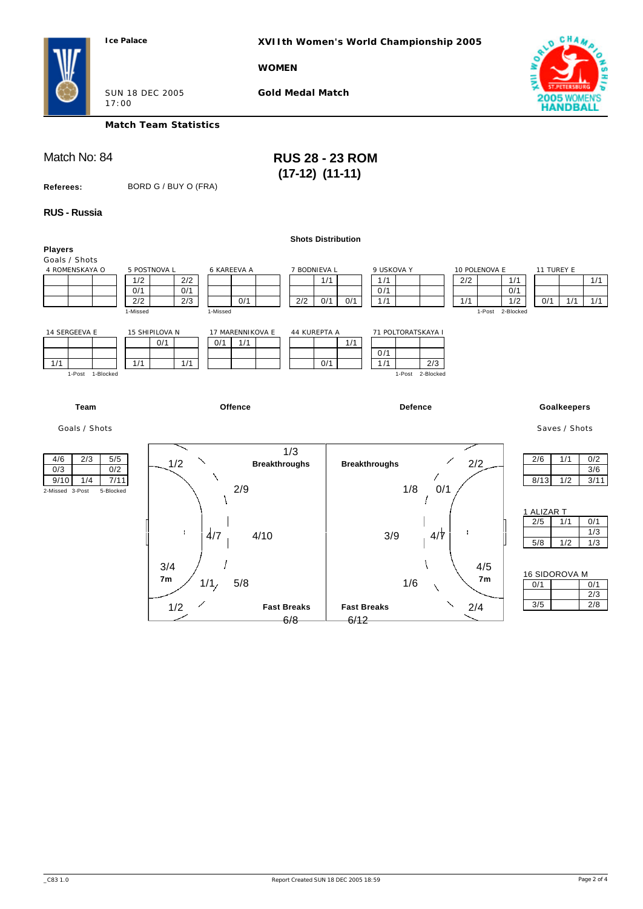**XVIIth Women's World Championship 2005**

### **WOMEN**



SUN 18 DEC 2005 17:00

**Gold Medal Match**

## **Match Team Statistics**

Match No: 84 **RUS 28 - 23 ROM (17-12) (11-11)** 

**Referees:** BORD G / BUY O (FRA)

### **RUS - Russia**

|                              |                      |                      | <b>Shots Distribution</b> |      |                      |                  |                          |
|------------------------------|----------------------|----------------------|---------------------------|------|----------------------|------------------|--------------------------|
| <b>Players</b>               |                      |                      |                           |      |                      |                  |                          |
| Goals / Shots                |                      |                      |                           |      |                      |                  |                          |
| 4 ROMENSKAYA O               | 5 POSTNOVA L         | 6 KAREEVA A          | 7 BODNIEVA L              |      | 9 USKOVA Y           | 10 POLENOVA E    | 11 TUREY E               |
|                              | 2/2<br>1/2           |                      | 1/1                       |      | 1/1                  | 2/2              | 1/1<br>1/1               |
|                              | 0/1<br>0/1           |                      |                           |      | 0/1                  |                  | 0/1                      |
|                              | 2/2<br>2/3           | 0/1                  | 2/2<br>0/1                | 0/1  | 1/1                  | 1/1              | 0/1<br>1/1<br>1/2<br>1/1 |
|                              | 1-Missed<br>1-Missed |                      |                           |      |                      | 1-Post           | 2-Blocked                |
|                              |                      |                      |                           |      |                      |                  |                          |
| 14 SERGEEVA E                | 15 SHIPILOVA N       | 17 MARENNIKOVA E     | 44 KUREPTA A              |      | 71 POLTORATSKAYA I   |                  |                          |
|                              | 0/1<br>0/1           | 1/1                  |                           | 1/1  |                      |                  |                          |
|                              |                      |                      |                           |      | 0/1                  |                  |                          |
| 1/1                          | 1/1<br>1/1           |                      | 0/1                       |      | 1/1<br>2/3           |                  |                          |
| 1-Post 1-Blocked             |                      |                      |                           |      | 1-Post 2-Blocked     |                  |                          |
|                              |                      |                      |                           |      |                      |                  |                          |
|                              |                      |                      |                           |      |                      |                  |                          |
| Team                         |                      | <b>Offence</b>       |                           |      | <b>Defence</b>       |                  |                          |
|                              |                      |                      |                           |      |                      |                  | Goalkeepers              |
| Goals / Shots                |                      |                      |                           |      |                      |                  | Saves / Shots            |
|                              |                      |                      |                           |      |                      |                  |                          |
|                              |                      |                      |                           |      |                      |                  |                          |
| 2/3<br>5/5<br>4/6            |                      |                      | 1/3                       |      |                      |                  | 1/1<br>2/6<br>0/2        |
| 0/2<br>0/3                   | 1/2                  | <b>Breakthroughs</b> |                           |      | <b>Breakthroughs</b> | 2/2              | 3/6                      |
| 1/4<br>9/10<br>7/11          | ╲                    |                      |                           |      |                      |                  | 8/13<br>1/2              |
|                              |                      | 2/9                  |                           |      | 1/8                  | 0/1              | 3/11                     |
| 2-Missed 3-Post<br>5-Blocked |                      |                      |                           |      |                      |                  |                          |
|                              |                      |                      |                           |      |                      |                  |                          |
|                              |                      |                      |                           |      |                      |                  | 1 ALIZAR T               |
|                              |                      |                      |                           |      |                      |                  | 2/5<br>1/1<br>0/1        |
|                              | $\frac{1}{4}$<br>÷   | 4/10                 |                           |      | 3/9                  | $4/\overline{7}$ | 1/3                      |
|                              |                      |                      |                           |      |                      |                  | 5/8<br>1/2<br>1/3        |
|                              |                      |                      |                           |      |                      |                  |                          |
|                              | 3/4                  |                      |                           |      |                      | 4/5              |                          |
|                              | 7m                   |                      |                           |      |                      | 7 <sub>m</sub>   | 16 SIDOROVA M            |
|                              | 1/1/                 | 5/8                  |                           |      | 1/6                  |                  | 0/1<br>0/1               |
|                              |                      |                      |                           |      |                      |                  | 2/3                      |
|                              | 1/2                  |                      | <b>Fast Breaks</b>        |      | <b>Fast Breaks</b>   | 2/4              | 3/5<br>2/8               |
|                              |                      |                      | 6/8                       | 6/12 |                      |                  |                          |
|                              |                      |                      |                           |      |                      |                  |                          |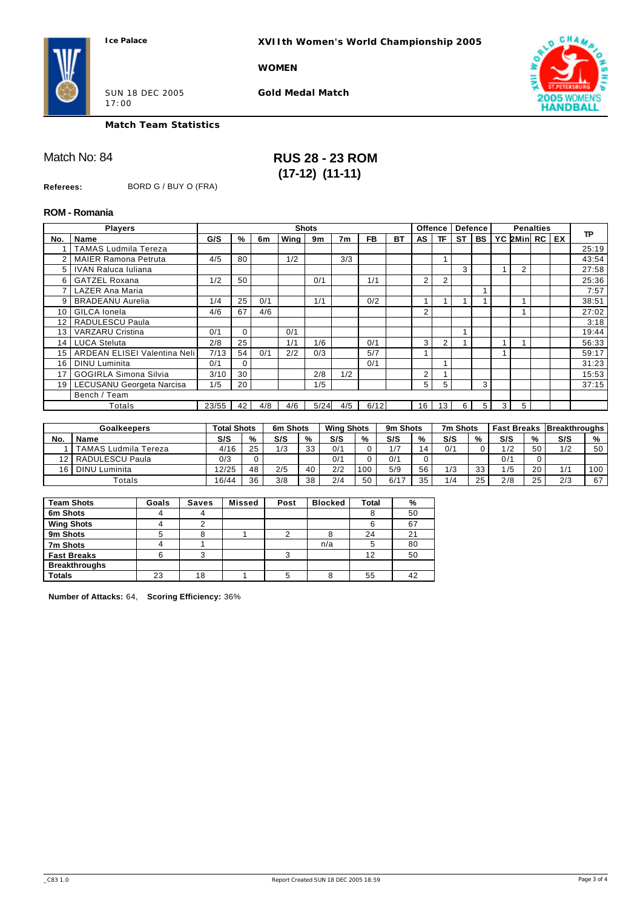**XVIIth Women's World Championship 2005**

### **WOMEN**



SUN 18 DEC 2005 17:00

**Gold Medal Match**



**Match Team Statistics**

## Match No: 84 **RUS 28 - 23 ROM (17-12) (11-11)**

**Referees:** BORD G / BUY O (FRA)

### **ROM - Romania**

|                 | <b>Players</b>               |       |    |     |      | <b>Shots</b>   |                |           |           |                | <b>Offence</b> |           | <b>Defence</b> |   | <b>Penalties</b> |    |           |
|-----------------|------------------------------|-------|----|-----|------|----------------|----------------|-----------|-----------|----------------|----------------|-----------|----------------|---|------------------|----|-----------|
| No.             | <b>Name</b>                  | G/S   | %  | 6m  | Wing | 9 <sub>m</sub> | 7 <sub>m</sub> | <b>FB</b> | <b>BT</b> | AS             | TF.            | <b>ST</b> | <b>BS</b>      |   | YC 2Min RC       | EX | <b>TP</b> |
|                 | <b>TAMAS Ludmila Tereza</b>  |       |    |     |      |                |                |           |           |                |                |           |                |   |                  |    | 25:19     |
| 2               | <b>MAIER Ramona Petruta</b>  | 4/5   | 80 |     | 1/2  |                | 3/3            |           |           |                |                |           |                |   |                  |    | 43:54     |
| 5 <sup>1</sup>  | <b>IVAN Raluca Iuliana</b>   |       |    |     |      |                |                |           |           |                |                | 3         |                |   | 2                |    | 27:58     |
| 6               | <b>GATZEL Roxana</b>         | 1/2   | 50 |     |      | 0/1            |                | 1/1       |           | 2              | 2              |           |                |   |                  |    | 25:36     |
|                 | LAZER Ana Maria              |       |    |     |      |                |                |           |           |                |                |           |                |   |                  |    | 7:57      |
| 9               | <b>BRADEANU Aurelia</b>      | 1/4   | 25 | 0/1 |      | 1/1            |                | 0/2       |           |                |                |           |                |   |                  |    | 38:51     |
| 10              | GILCA Ionela                 | 4/6   | 67 | 4/6 |      |                |                |           |           | $\overline{2}$ |                |           |                |   |                  |    | 27:02     |
| 12              | RADULESCU Paula              |       |    |     |      |                |                |           |           |                |                |           |                |   |                  |    | 3:18      |
| 13              | <b>VARZARU Cristina</b>      | 0/1   | 0  |     | 0/1  |                |                |           |           |                |                |           |                |   |                  |    | 19:44     |
| 14              | <b>LUCA Steluta</b>          | 2/8   | 25 |     | 1/1  | 1/6            |                | 0/1       |           | 3              | 2              |           |                |   |                  |    | 56:33     |
| 15              | ARDEAN ELISEI Valentina Neli | 7/13  | 54 | 0/1 | 2/2  | 0/3            |                | 5/7       |           |                |                |           |                |   |                  |    | 59:17     |
| 16              | <b>DINU</b> Luminita         | 0/1   | 0  |     |      |                |                | 0/1       |           |                |                |           |                |   |                  |    | 31:23     |
| 17              | <b>GOGIRLA Simona Silvia</b> | 3/10  | 30 |     |      | 2/8            | 1/2            |           |           | 2              |                |           |                |   |                  |    | 15:53     |
| 19 <sup>1</sup> | LECUSANU Georgeta Narcisa    | 1/5   | 20 |     |      | 1/5            |                |           |           | 5              | 5              |           | 3              |   |                  |    | 37:15     |
|                 | Bench / Team                 |       |    |     |      |                |                |           |           |                |                |           |                |   |                  |    |           |
|                 | Totals                       | 23/55 | 42 | 4/8 | 4/6  | 5/24           | 4/5            | 6/12      |           | 16             | 13.            | 6         | 5              | 3 | 5                |    |           |

|     | <b>Goalkeepers</b>   |       | <b>Total Shots</b> |     | 6m Shots | <b>Wing Shots</b> |     | 9m Shots |    | 7m Shots |               |     |    | <b>Fast Breaks Breakthroughs</b> |     |
|-----|----------------------|-------|--------------------|-----|----------|-------------------|-----|----------|----|----------|---------------|-----|----|----------------------------------|-----|
| No. | Name                 | S/S   | %                  | S/S | %        | S/S               | %   | S/S      | %  | S/S      | $\frac{9}{6}$ | S/S | %  | S/S                              | %   |
|     | TAMAS Ludmila Tereza | 4/16  | 25                 | 1/3 | つつ<br>ບບ | 0/1               |     | 1/7      | 14 | 0/1      |               | 12  | 50 | 1/2                              | 50  |
|     | RADULESCU Paula      | 0/3   |                    |     |          | 0/1               |     | 0/1      |    |          |               | 0/1 |    |                                  |     |
| 16  | DINU Luminita        | 12/25 | 48                 | 2/5 | 40       | 2/2               | 100 | 5/9      | 56 | 1/3      | 33            | /5  | 20 |                                  | 100 |
|     | Totals               | 16/44 | 36                 | 3/8 | 38       | 2/4               | 50  | 6/17     | 35 | 1/4      | 25            | 2/8 | つに | 2/3                              | 67  |

| <b>Team Shots</b>    | Goals | <b>Saves</b> | <b>Missed</b> | Post | <b>Blocked</b> | Total | %  |
|----------------------|-------|--------------|---------------|------|----------------|-------|----|
| 6m Shots             | 4     | 4            |               |      |                |       | 50 |
| <b>Wing Shots</b>    |       |              |               |      |                |       | 67 |
| 9m Shots             |       |              |               |      |                | 24    | 21 |
| 7m Shots             |       |              |               |      | n/a            |       | 80 |
| <b>Fast Breaks</b>   | 6     |              |               |      |                | 12    | 50 |
| <b>Breakthroughs</b> |       |              |               |      |                |       |    |
| <b>Totals</b>        | 23    | 18           |               | 5    |                | 55    | 42 |

**Number of Attacks:** 64, **Scoring Efficiency:** 36%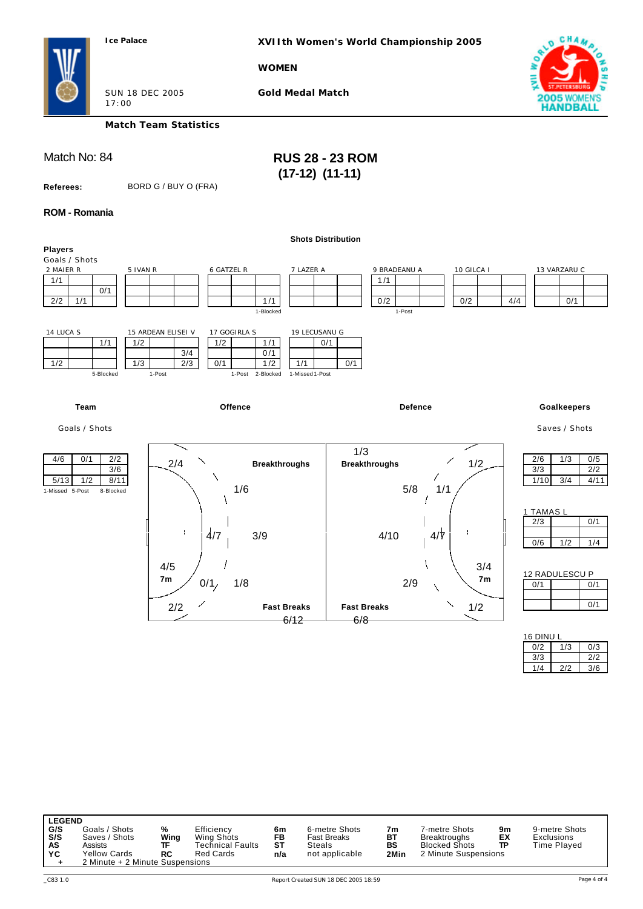**XVIIth Women's World Championship 2005**

**WOMEN**



SUN 18 DEC 2005 17:00

**Gold Medal Match**

**Match Team Statistics**

Match No: 84 **RUS 28 - 23 ROM (17-12) (11-11)** 

**Referees:** BORD G / BUY O (FRA)

**ROM - Romania**

|                                                                                 |                                                                                                                                        | <b>Shots Distribution</b>                                              |                                                                                                        |
|---------------------------------------------------------------------------------|----------------------------------------------------------------------------------------------------------------------------------------|------------------------------------------------------------------------|--------------------------------------------------------------------------------------------------------|
| <b>Players</b><br>Goals / Shots                                                 |                                                                                                                                        |                                                                        |                                                                                                        |
| 2 MAIER R<br>1/1<br>0/1<br>2/2<br>1/1                                           | 5 IVAN R<br>6 GATZEL R<br>1/1<br>1-Blocked                                                                                             | 7 LAZER A<br>9 BRADEANU A<br>10 GILCA I<br>1/1<br>0/2<br>0/2<br>1-Post | 13 VARZARU C<br>4/4<br>0/1                                                                             |
| 14 LUCA S<br>1/1<br>1/2<br>5-Blocked                                            | 15 ARDEAN ELISEI V<br>17 GOGIRLA S<br>1/2<br>1/2<br>1/1<br>3/4<br>0/1<br>1/3<br>2/3<br>0/1<br>1/1<br>1/2<br>1-Post<br>1-Post 2-Blocked | 19 LECUSANU G<br>0/1<br>0/1<br>1-Missed 1-Post                         |                                                                                                        |
| Team                                                                            | Offence                                                                                                                                | <b>Defence</b>                                                         | Goalkeepers                                                                                            |
| Goals / Shots                                                                   |                                                                                                                                        |                                                                        | Saves / Shots                                                                                          |
| 2/2<br>4/6<br>0/1<br>3/6<br>5/13<br>1/2<br>8/11<br>1-Missed 5-Post<br>8-Blocked | ╲<br>2/4<br><b>Breakthroughs</b><br>1/6<br>÷<br>$\frac{4}{7}$<br>3/9                                                                   | 1/3<br>1/2<br><b>Breakthroughs</b><br>5/8<br>1/1<br>ł<br>4/7<br>4/10   | 2/6<br>1/3<br>0/5<br>3/3<br>2/2<br>1/10<br>3/4<br>4/11<br>1 TAMAS L<br>2/3<br>0/1<br>0/6<br>1/2<br>1/4 |
|                                                                                 | 4/5<br>7 <sub>m</sub><br>0/1/<br>1/8<br>2/2<br><b>Fast Breaks</b><br>6/12                                                              | 3/4<br>7 <sub>m</sub><br>2/9<br>1/2<br><b>Fast Breaks</b><br>6/8       | 12 RADULESCU P<br>0/1<br>0/1<br>0/1<br>16 DINU L                                                       |

| <b>LEGEND</b> |                                 |      |                         |     |                    |      |                      |    |                   |
|---------------|---------------------------------|------|-------------------------|-----|--------------------|------|----------------------|----|-------------------|
| G/S           | Goals / Shots                   | %    | Efficiency              | 6m  | 6-metre Shots      | 7m   | 7-metre Shots        | 9m | 9-metre Shots     |
| S/S           | Saves / Shots                   | Wing | Wing Shots              | FB  | <b>Fast Breaks</b> | BT   | <b>Breaktroughs</b>  | EX | <b>Exclusions</b> |
| AS            | Assists                         | ᅚ    | <b>Technical Faults</b> | ST  | Steals             | BS   | <b>Blocked Shots</b> | TP | Time Played       |
| YC            | <b>Yellow Cards</b>             | RC   | <b>Red Cards</b>        | n/a | not applicable     | 2Min | 2 Minute Suspensions |    |                   |
| ٠             | 2 Minute + 2 Minute Suspensions |      |                         |     |                    |      |                      |    |                   |

 $3/3$  2/2 1/4 2/2 3/6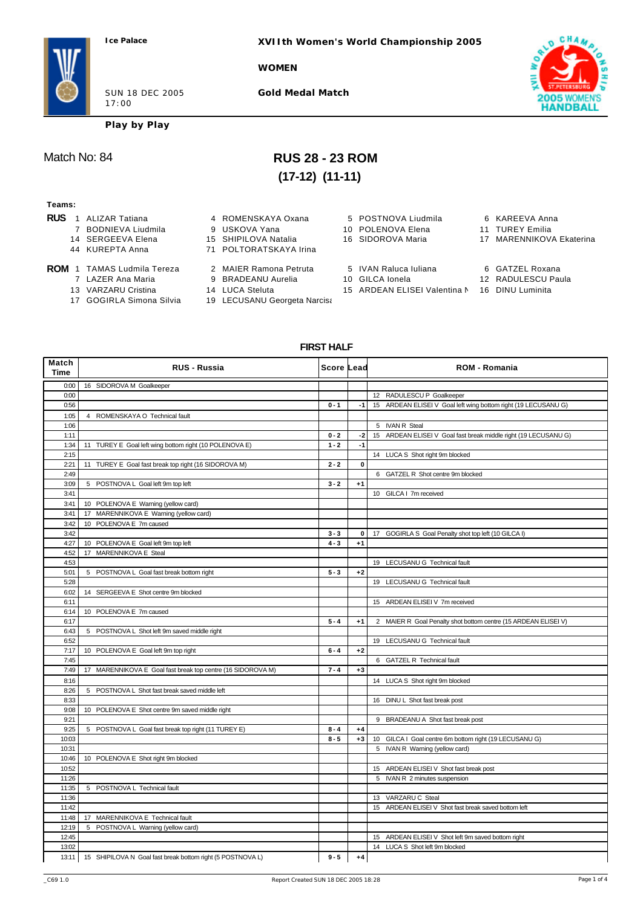**XVIIth Women's World Championship 2005**

**WOMEN**



**Gold Medal Match**



**Play by Play**

# Match No: 84 **RUS 28 - 23 ROM (17-12) (11-11)**

### **Teams:**

- **RUS** 1 ALIZAR Tatiana **4 ROMENSKAYA Oxana** 5 POSTNOVA Liudmila 6 KAREEVA Anna
	- 7 BODNIEVA Liudmila 9 USKOVA Yana 10 POLENOVA Elena 11 TUREY Emilia
	- 14 SERGEEVA Elena 15 SHIPILOVA Natalia 16 SIDOROVA Maria 17 MARENNIKOVA Ekaterina
	- 44 KUREPTA Anna 71 POLTORATSKAYA Irina
- 
- **ROM** 1 TAMAS Ludmila Tereza 2 MAIER Ramona Petruta 5 IVAN Raluca Iuliana 6 GATZEL Roxana<br>7 LAZER Ana Maria 9 BRADEANU Aurelia 10 GILCA Ionela 12 RADULESCU Paula
	-
	- 13 VARZARU Cristina 14 LUCA Steluta 15 ARDEAN ELISEI Valentina N 16 DINU Luminita<br>17 GOGIRLA Simona Silvia 19 LECUSANU Georgeta Narcisa
- 
- 
- 
- 9 BRADEANU Aurelia
	-
	- 19 LECUSANU Georgeta Narcisa
- 
- 
- 
- 
- 
- 
- 
- 
- 
- 
- 

**FIRST HALF**

| Match<br>Time | <b>RUS - Russia</b>                                                | Score Lead |      | <b>ROM - Romania</b>                                            |
|---------------|--------------------------------------------------------------------|------------|------|-----------------------------------------------------------------|
| 0:00          | 16 SIDOROVA M Goalkeeper                                           |            |      |                                                                 |
| 0:00          |                                                                    |            |      | 12 RADULESCU P Goalkeeper                                       |
| 0:56          |                                                                    | $0 - 1$    | $-1$ | 15 ARDEAN ELISEI V Goal left wing bottom right (19 LECUSANU G)  |
| 1:05          | 4 ROMENSKAYA O Technical fault                                     |            |      |                                                                 |
| 1:06          |                                                                    |            |      | 5 IVAN R Steal                                                  |
| 1:11          |                                                                    | $0 - 2$    | $-2$ | 15 ARDEAN ELISEI V Goal fast break middle right (19 LECUSANU G) |
| 1:34          | 11 TUREY E Goal left wing bottom right (10 POLENOVA E)             | $1 - 2$    | $-1$ |                                                                 |
| 2:15          |                                                                    |            |      | 14 LUCA S Shot right 9m blocked                                 |
| 2:21          | 11 TUREY E Goal fast break top right (16 SIDOROVA M)               | $2 - 2$    | 0    |                                                                 |
| 2:49          |                                                                    |            |      | 6 GATZEL R Shot centre 9m blocked                               |
| 3:09          | 5 POSTNOVA L Goal left 9m top left                                 | $3 - 2$    | $+1$ |                                                                 |
| 3:41          |                                                                    |            |      | 10 GILCA I 7m received                                          |
| 3:41          | 10 POLENOVA E Warning (yellow card)                                |            |      |                                                                 |
| 3:41          | 17 MARENNIKOVA E Warning (yellow card)                             |            |      |                                                                 |
| 3:42          | 10 POLENOVA E 7m caused                                            |            |      |                                                                 |
| 3:42          |                                                                    | $3 - 3$    | 0    | 17 GOGIRLA S Goal Penalty shot top left (10 GILCA I)            |
| 4:27          | 10 POLENOVA E Goal left 9m top left                                | $4 - 3$    | $+1$ |                                                                 |
| 4:52          | 17 MARENNIKOVA E Steal                                             |            |      |                                                                 |
| 4:53          |                                                                    |            |      | 19 LECUSANU G Technical fault                                   |
| 5:01          | 5 POSTNOVA L Goal fast break bottom right                          | $5 - 3$    | $+2$ |                                                                 |
| 5:28          |                                                                    |            |      | 19 LECUSANU G Technical fault                                   |
| 6:02          | 14 SERGEEVA E Shot centre 9m blocked                               |            |      |                                                                 |
| 6:11          |                                                                    |            |      | 15 ARDEAN ELISEI V 7m received                                  |
| 6:14          | 10 POLENOVA E 7m caused                                            |            |      |                                                                 |
| 6:17          |                                                                    | $5 - 4$    | $+1$ | 2 MAIER R Goal Penalty shot bottom centre (15 ARDEAN ELISEI V)  |
| 6:43          | 5 POSTNOVA L Shot left 9m saved middle right                       |            |      |                                                                 |
| 6:52          |                                                                    |            |      | 19 LECUSANU G Technical fault                                   |
| 7:17          | 10 POLENOVA E Goal left 9m top right                               | $6 - 4$    | $+2$ |                                                                 |
| 7:45          |                                                                    |            |      | 6 GATZEL R Technical fault                                      |
| 7:49          | 17 MARENNIKOVA E Goal fast break top centre (16 SIDOROVA M)        | $7 - 4$    | $+3$ |                                                                 |
| 8:16          |                                                                    |            |      | 14 LUCA S Shot right 9m blocked                                 |
| 8:26          | 5 POSTNOVA L Shot fast break saved middle left                     |            |      |                                                                 |
| 8:33          |                                                                    |            |      | 16 DINU L Shot fast break post                                  |
| 9:08          | 10 POLENOVA E Shot centre 9m saved middle right                    |            |      |                                                                 |
| 9:21          |                                                                    |            |      | 9 BRADEANU A Shot fast break post                               |
| 9:25          | 5 POSTNOVA L Goal fast break top right (11 TUREY E)                | $8 - 4$    | $+4$ |                                                                 |
| 10:03         |                                                                    | $8 - 5$    | $+3$ | 10 GILCA I Goal centre 6m bottom right (19 LECUSANU G)          |
| 10:31         |                                                                    |            |      | 5 IVAN R Warning (yellow card)                                  |
| 10:46         | 10 POLENOVA E Shot right 9m blocked                                |            |      |                                                                 |
| 10:52         |                                                                    |            |      | 15 ARDEAN ELISEI V Shot fast break post                         |
| 11:26         |                                                                    |            |      | 5 IVAN R 2 minutes suspension                                   |
| 11:35         | 5 POSTNOVA L Technical fault                                       |            |      |                                                                 |
| 11:36         |                                                                    |            |      | 13 VARZARU C Steal                                              |
| 11:42         |                                                                    |            |      | 15 ARDEAN ELISEI V Shot fast break saved bottom left            |
| 11:48         | 17 MARENNIKOVA E Technical fault                                   |            |      |                                                                 |
| 12:19         | 5 POSTNOVA L Warning (yellow card)                                 |            |      |                                                                 |
| 12:45         |                                                                    |            |      | 15 ARDEAN ELISEI V Shot left 9m saved bottom right              |
| 13:02         |                                                                    |            |      | 14 LUCA S Shot left 9m blocked                                  |
|               | 13:11   15 SHIPILOVA N Goal fast break bottom right (5 POSTNOVA L) | $9 - 5$    | $+4$ |                                                                 |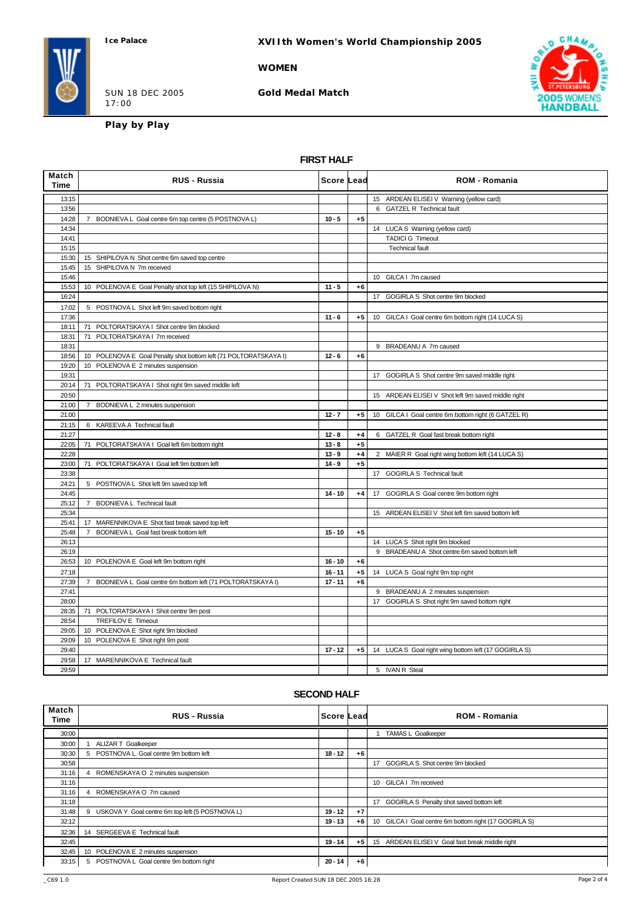**XVIIth Women's World Championship 2005**

### **WOMEN**

SUN 18 DEC 2005 17:00

**Gold Medal Match**



**Play by Play**

### **FIRST HALF**

| Match<br><b>Time</b> | <b>RUS - Russia</b>                                              | Score ∣Lead |      | <b>ROM - Romania</b>                                 |
|----------------------|------------------------------------------------------------------|-------------|------|------------------------------------------------------|
| 13:15                |                                                                  |             |      | 15 ARDEAN ELISEI V Warning (yellow card)             |
| 13:56                |                                                                  |             |      | 6 GATZEL R Technical fault                           |
| 14:28                | 7 BODNIEVA L Goal centre 6m top centre (5 POSTNOVA L)            | $10 - 5$    | $+5$ |                                                      |
| 14:34                |                                                                  |             |      | 14 LUCA S Warning (yellow card)                      |
| 14:41                |                                                                  |             |      | <b>TADICI G Timeout</b>                              |
| 15:15                |                                                                  |             |      | <b>Technical fault</b>                               |
| 15:30                | 15 SHIPILOVA N Shot centre 6m saved top centre                   |             |      |                                                      |
| 15:45                | 15 SHIPILOVA N 7m received                                       |             |      |                                                      |
| 15:46                |                                                                  |             |      | 10 GILCA I 7m caused                                 |
| 15:53                | 10 POLENOVA E Goal Penalty shot top left (15 SHIPILOVA N)        | $11 - 5$    | $+6$ |                                                      |
| 16:24                |                                                                  |             |      | 17 GOGIRLA S Shot centre 9m blocked                  |
| 17:02                | 5 POSTNOVA L Shot left 9m saved bottom right                     |             |      |                                                      |
| 17:36                |                                                                  | $11 - 6$    | $+5$ | 10 GILCA I Goal centre 6m bottom right (14 LUCA S)   |
| 18:11                | 71 POLTORATSKAYA I Shot centre 9m blocked                        |             |      |                                                      |
| 18:31                | 71 POLTORATSKAYA I 7m received                                   |             |      |                                                      |
| 18:31                |                                                                  |             |      | 9 BRADEANU A 7m caused                               |
| 18:56                | 10 POLENOVA E Goal Penalty shot bottom left (71 POLTORATSKAYA I) | $12 - 6$    | $+6$ |                                                      |
| 19:20                | 10 POLENOVA E 2 minutes suspension                               |             |      |                                                      |
| 19:31                |                                                                  |             |      | 17 GOGIRLA S Shot centre 9m saved middle right       |
| 20:14                | 71 POLTORATSKAYA I Shot right 9m saved middle left               |             |      |                                                      |
| 20:50                |                                                                  |             |      | 15 ARDEAN ELISEI V Shot left 9m saved middle right   |
| 21:00                | BODNIEVA L 2 minutes suspension<br>7                             |             |      |                                                      |
| 21:00                |                                                                  | $12 - 7$    | $+5$ | 10 GILCA I Goal centre 6m bottom right (6 GATZEL R)  |
| 21:15                | 6 KAREEVA A Technical fault                                      |             |      |                                                      |
| 21:27                |                                                                  | $12 - 8$    | $+4$ | 6 GATZEL R Goal fast break bottom right              |
| 22:05                | 71 POLTORATSKAYA I Goal left 6m bottom right                     | $13 - 8$    | $+5$ |                                                      |
| 22:28                |                                                                  | $13 - 9$    | $+4$ | 2 MAIER R Goal right wing bottom left (14 LUCA S)    |
| 23:00                | 71 POLTORATSKAYA I Goal left 9m bottom left                      | $14 - 9$    | $+5$ |                                                      |
| 23:38                |                                                                  |             |      | <b>GOGIRLA S Technical fault</b><br>17               |
| 24:21                | 5 POSTNOVA L Shot left 9m saved top left                         |             |      |                                                      |
| 24:45                |                                                                  | $14 - 10$   | $+4$ | GOGIRLA S Goal centre 9m bottom right<br>17          |
| 25:12                | 7 BODNIEVA L Technical fault                                     |             |      |                                                      |
| 25:34                |                                                                  |             |      | 15 ARDEAN ELISEI V Shot left 6m saved bottom left    |
| 25:41                | 17 MARENNIKOVA E Shot fast break saved top left                  |             |      |                                                      |
| 25:48                | $\overline{7}$<br>BODNIEVA L Goal fast break bottom left         | $15 - 10$   | $+5$ |                                                      |
| 26:13                |                                                                  |             |      | 14 LUCA S Shot right 9m blocked                      |
| 26:19                |                                                                  |             |      | 9 BRADEANU A Shot centre 6m saved bottom left        |
| 26:53                | 10 POLENOVA E Goal left 9m bottom right                          | $16 - 10$   | $+6$ |                                                      |
| 27:18                |                                                                  | $16 - 11$   | $+5$ | 14 LUCA S Goal right 9m top right                    |
| 27:39                | 7 BODNIEVA L Goal centre 6m bottom left (71 POLTORATSKAYA I)     | $17 - 11$   | $+6$ |                                                      |
| 27:41                |                                                                  |             |      | 9 BRADEANU A 2 minutes suspension                    |
| 28:00                |                                                                  |             |      | 17 GOGIRLA S Shot right 9m saved bottom right        |
| 28:35                | 71 POLTORATSKAYA I Shot centre 9m post                           |             |      |                                                      |
| 28:54                | TREFILOV E Timeout                                               |             |      |                                                      |
| 29:05                | 10 POLENOVA E Shot right 9m blocked                              |             |      |                                                      |
| 29:09                | 10 POLENOVA E Shot right 9m post                                 |             |      |                                                      |
| 29:40                |                                                                  | $17 - 12$   | $+5$ | 14 LUCA S Goal right wing bottom left (17 GOGIRLA S) |
| 29:58                | 17 MARENNIKOVA E Technical fault                                 |             |      |                                                      |
| 29:59                |                                                                  |             |      | 5 IVAN R Steal                                       |

### **SECOND HALF**

| Match<br>Time | <b>RUS - Russia</b>                                 | Score Lead |      | <b>ROM - Romania</b>                                                  |
|---------------|-----------------------------------------------------|------------|------|-----------------------------------------------------------------------|
| 30:00         |                                                     |            |      | <b>TAMAS L Goalkeeper</b>                                             |
| 30:00         | <b>ALIZAR T Goalkeeper</b>                          |            |      |                                                                       |
| 30:30         | 5 POSTNOVA L Goal centre 9m bottom left             | $18 - 12$  | $+6$ |                                                                       |
| 30:58         |                                                     |            |      | GOGIRLA S Shot centre 9m blocked<br>17 <sup>2</sup>                   |
| 31:16         | ROMENSKAYA O 2 minutes suspension<br>$\overline{4}$ |            |      |                                                                       |
| 31:16         |                                                     |            |      | GILCA I 7m received<br>10 <sup>1</sup>                                |
| 31:16         | 4 ROMENSKAYA O 7m caused                            |            |      |                                                                       |
| 31:18         |                                                     |            |      | 17 GOGIRLA S Penalty shot saved bottom left                           |
| 31:48         | 9 USKOVA Y Goal centre 6m top left (5 POSTNOVA L)   | $19 - 12$  | $+7$ |                                                                       |
| 32:12         |                                                     | 19 - 13    | $+6$ | 10 <sup>°</sup><br>GILCA I Goal centre 6m bottom right (17 GOGIRLA S) |
| 32:36         | 14 SERGEEVA E Technical fault                       |            |      |                                                                       |
| 32:45         |                                                     | $19 - 14$  | $+5$ | 15 ARDEAN ELISEI V Goal fast break middle right                       |
| 32:45         | 10 POLENOVA E 2 minutes suspension                  |            |      |                                                                       |
| 33:15         | 5 POSTNOVA L Goal centre 9m bottom right            | $20 - 14$  | $+6$ |                                                                       |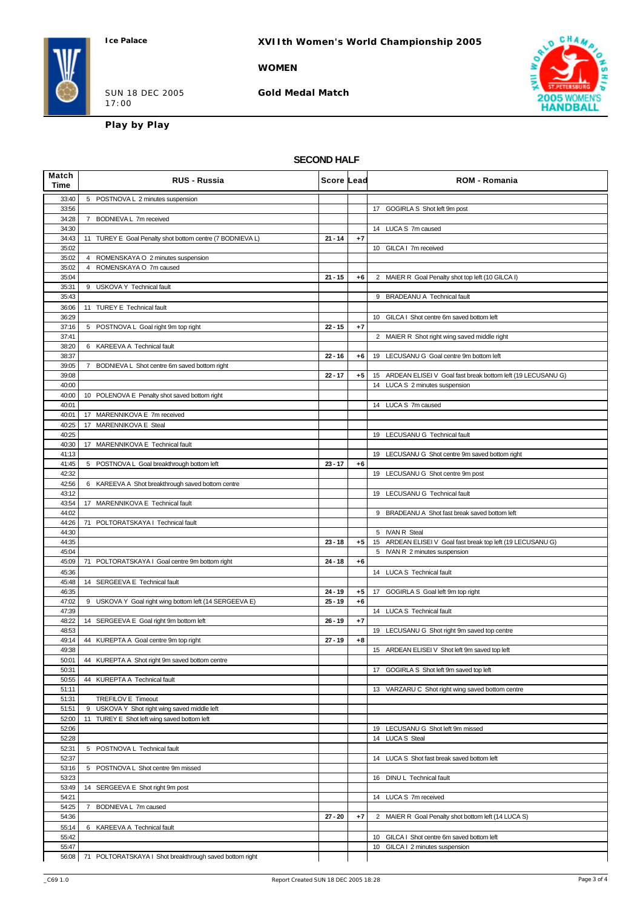### **WOMEN**

SUN 18 DEC 2005 17:00

**Gold Medal Match**



**Play by Play**

### **SECOND HALF**

| Match<br>Time  | <b>RUS - Russia</b>                                             | Score Lead |      | <b>ROM - Romania</b>                                           |
|----------------|-----------------------------------------------------------------|------------|------|----------------------------------------------------------------|
| 33:40          | 5 POSTNOVA L 2 minutes suspension                               |            |      |                                                                |
| 33:56<br>34:28 |                                                                 |            |      | 17 GOGIRLA S Shot left 9m post                                 |
| 34:30          | 7 BODNIEVA L 7m received                                        |            |      | 14 LUCA S 7m caused                                            |
| 34:43          | 11 TUREY E Goal Penalty shot bottom centre (7 BODNIEVA L)       | $21 - 14$  | $+7$ |                                                                |
| 35:02          |                                                                 |            |      | 10 GILCA I 7m received                                         |
| 35:02<br>35:02 | 4 ROMENSKAYA O 2 minutes suspension<br>4 ROMENSKAYA O 7m caused |            |      |                                                                |
| 35:04          |                                                                 | $21 - 15$  | $+6$ | 2 MAIER R Goal Penalty shot top left (10 GILCA I)              |
| 35:31          | 9 USKOVA Y Technical fault                                      |            |      |                                                                |
| 35:43<br>36:06 | 11 TUREY E Technical fault                                      |            |      | 9 BRADEANU A Technical fault                                   |
| 36:29          |                                                                 |            |      | 10 GILCA I Shot centre 6m saved bottom left                    |
| 37:16          | 5 POSTNOVA L Goal right 9m top right                            | $22 - 15$  | $+7$ |                                                                |
| 37:41<br>38:20 | 6 KAREEVA A Technical fault                                     |            |      | 2 MAIER R Shot right wing saved middle right                   |
| 38:37          |                                                                 | $22 - 16$  | +6   | 19 LECUSANU G Goal centre 9m bottom left                       |
| 39:05          | 7 BODNIEVA L Shot centre 6m saved bottom right                  |            |      |                                                                |
| 39:08          |                                                                 | $22 - 17$  | $+5$ | 15 ARDEAN ELISEI V Goal fast break bottom left (19 LECUSANU G) |
| 40:00<br>40:00 | 10 POLENOVA E Penalty shot saved bottom right                   |            |      | 14 LUCA S 2 minutes suspension                                 |
| 40:01          |                                                                 |            |      | 14 LUCA S 7m caused                                            |
| 40:01          | 17 MARENNIKOVA E 7m received                                    |            |      |                                                                |
| 40:25<br>40:25 | 17 MARENNIKOVA E Steal                                          |            |      | 19 LECUSANU G Technical fault                                  |
| 40:30          | 17 MARENNIKOVA E Technical fault                                |            |      |                                                                |
| 41:13          |                                                                 |            |      | 19 LECUSANU G Shot centre 9m saved bottom right                |
| 41:45          | 5 POSTNOVA L Goal breakthrough bottom left                      | $23 - 17$  | $+6$ |                                                                |
| 42:32<br>42:56 | 6 KAREEVA A Shot breakthrough saved bottom centre               |            |      | 19 LECUSANU G Shot centre 9m post                              |
| 43:12          |                                                                 |            |      | 19 LECUSANU G Technical fault                                  |
| 43:54          | 17 MARENNIKOVA E Technical fault                                |            |      |                                                                |
| 44:02<br>44:26 | 71 POLTORATSKAYA I Technical fault                              |            |      | 9 BRADEANU A Shot fast break saved bottom left                 |
| 44:30          |                                                                 |            |      | 5 IVAN R Steal                                                 |
| 44:35          |                                                                 | $23 - 18$  | $+5$ | 15 ARDEAN ELISEI V Goal fast break top left (19 LECUSANU G)    |
| 45:04          |                                                                 | $24 - 18$  |      | 5 IVAN R 2 minutes suspension                                  |
| 45:09<br>45:36 | 71 POLTORATSKAYA I Goal centre 9m bottom right                  |            | $+6$ | 14 LUCA S Technical fault                                      |
| 45:48          | 14 SERGEEVA E Technical fault                                   |            |      |                                                                |
| 46:35          |                                                                 | $24 - 19$  | $+5$ | 17 GOGIRLA S Goal left 9m top right                            |
| 47:02<br>47:39 | 9 USKOVA Y Goal right wing bottom left (14 SERGEEVA E)          | $25 - 19$  | $+6$ | 14 LUCA S Technical fault                                      |
| 48:22          | 14 SERGEEVA E Goal right 9m bottom left                         | $26 - 19$  | $+7$ |                                                                |
| 48:53          |                                                                 |            |      | 19 LECUSANU G Shot right 9m saved top centre                   |
| 49:14<br>49:38 | 44 KUREPTA A Goal centre 9m top right                           | $27 - 19$  | $+8$ | 15 ARDEAN ELISEI V Shot left 9m saved top left                 |
| 50:01          | 44 KUREPTA A Shot right 9m saved bottom centre                  |            |      |                                                                |
| 50:31          |                                                                 |            |      | 17<br>GOGIRLA S Shot left 9m saved top left                    |
| 50:55          | 44 KUREPTA A Technical fault                                    |            |      |                                                                |
| 51:11<br>51:31 | TREFILOV E Timeout                                              |            |      | 13 VARZARU C Shot right wing saved bottom centre               |
| 51:51          | 9 USKOVA Y Shot right wing saved middle left                    |            |      |                                                                |
| 52:00          | 11 TUREY E Shot left wing saved bottom left                     |            |      |                                                                |
| 52:06<br>52:28 |                                                                 |            |      | 19 LECUSANU G Shot left 9m missed<br>14 LUCA S Steal           |
| 52:31          | POSTNOVA L Technical fault<br>5                                 |            |      |                                                                |
| 52:37          |                                                                 |            |      | LUCA S Shot fast break saved bottom left<br>14                 |
| 53:16          | POSTNOVA L Shot centre 9m missed<br>5                           |            |      |                                                                |
| 53:23<br>53:49 | 14 SERGEEVA E Shot right 9m post                                |            |      | 16 DINU L Technical fault                                      |
| 54:21          |                                                                 |            |      | 14 LUCA S 7m received                                          |
| 54:25          | BODNIEVA L 7m caused<br>7                                       |            |      |                                                                |
| 54:36<br>55:14 | 6 KAREEVA A Technical fault                                     | $27 - 20$  | $+7$ | MAIER R Goal Penalty shot bottom left (14 LUCA S)<br>2         |
| 55:42          |                                                                 |            |      | 10 GILCA I Shot centre 6m saved bottom left                    |
| 55:47          |                                                                 |            |      | 10 GILCA I 2 minutes suspension                                |
| 56:08          | 71 POLTORATSKAYA I Shot breakthrough saved bottom right         |            |      |                                                                |